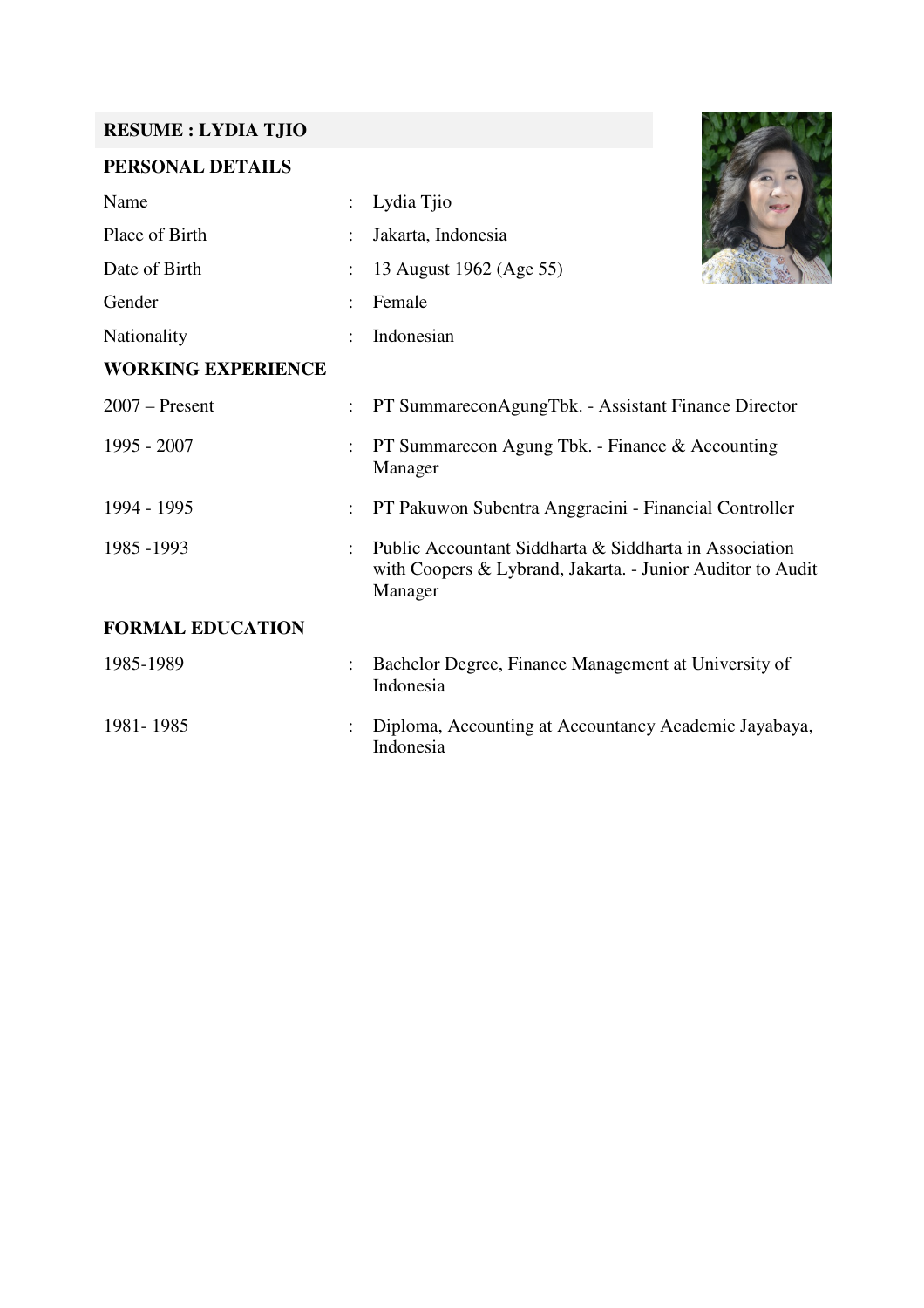#### **RESUME : LYDIA TJIO**

## **PERSONAL DETAILS**

| Name                      |                      | Lydia Tjio                                                                                                                      |
|---------------------------|----------------------|---------------------------------------------------------------------------------------------------------------------------------|
| Place of Birth            |                      | Jakarta, Indonesia                                                                                                              |
| Date of Birth             |                      | 13 August 1962 (Age 55)                                                                                                         |
| Gender                    | $\ddot{\cdot}$       | Female                                                                                                                          |
| Nationality               |                      | Indonesian                                                                                                                      |
| <b>WORKING EXPERIENCE</b> |                      |                                                                                                                                 |
| $2007$ – Present          | $\ddot{\phantom{a}}$ | PT SummareconAgungTbk. - Assistant Finance Director                                                                             |
| 1995 - 2007               | $\ddot{\cdot}$       | PT Summarecon Agung Tbk. - Finance & Accounting<br>Manager                                                                      |
| 1994 - 1995               | $\ddot{\cdot}$       | PT Pakuwon Subentra Anggraeini - Financial Controller                                                                           |
| 1985 - 1993               |                      | Public Accountant Siddharta & Siddharta in Association<br>with Coopers & Lybrand, Jakarta. - Junior Auditor to Audit<br>Manager |
| <b>FORMAL EDUCATION</b>   |                      |                                                                                                                                 |
| 1985-1989                 | $\ddot{\phantom{0}}$ | Bachelor Degree, Finance Management at University of<br>Indonesia                                                               |
| 1981-1985                 |                      | Diploma, Accounting at Accountancy Academic Jayabaya,<br>Indonesia                                                              |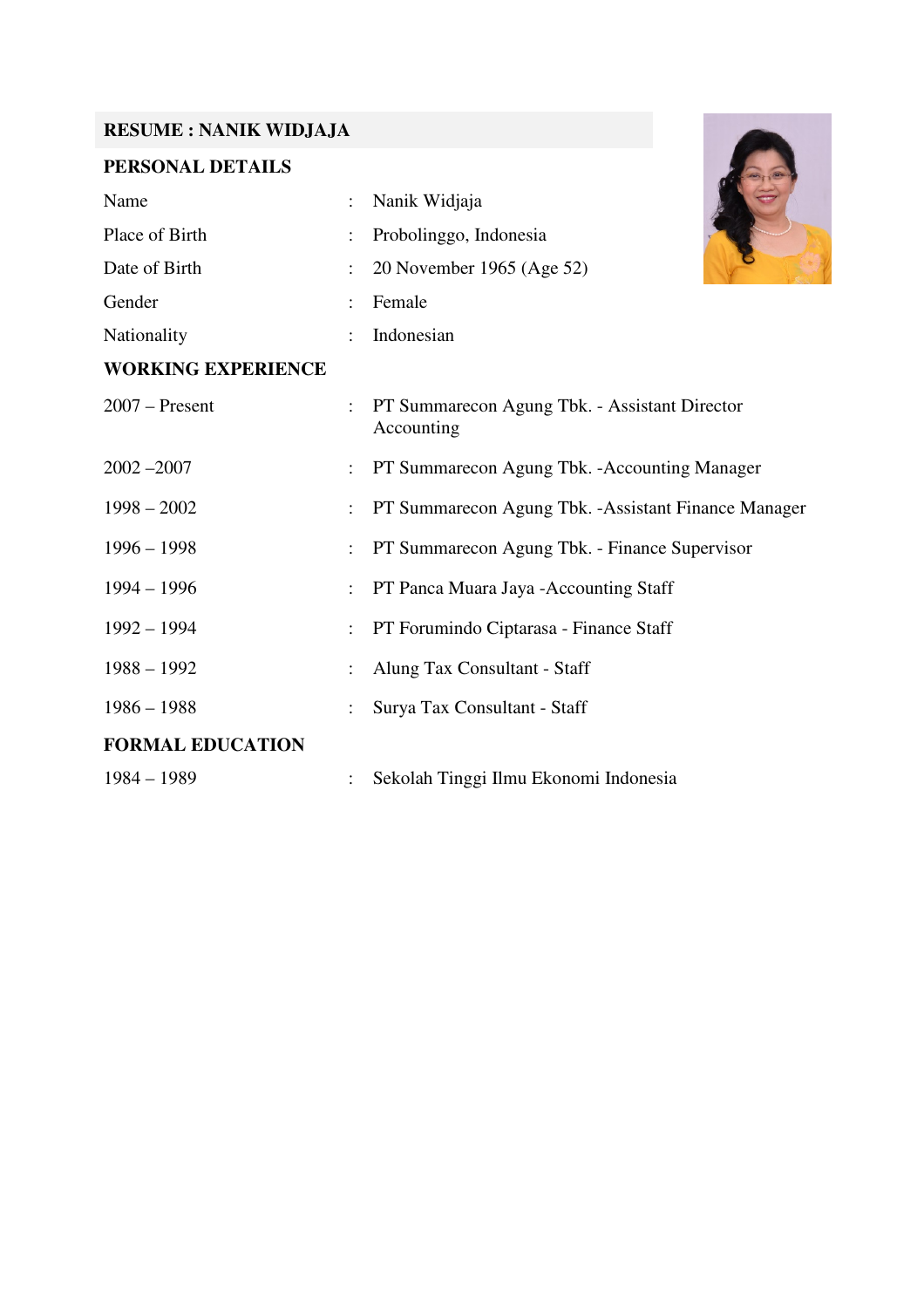#### **RESUME : NANIK WIDJAJA**

## **PERSONAL DETAILS**

| <b>RESUME: NANIK WIDJAJA</b> |                                                             |
|------------------------------|-------------------------------------------------------------|
| PERSONAL DETAILS             |                                                             |
| Name                         | Nanik Widjaja                                               |
| Place of Birth               | Probolinggo, Indonesia                                      |
| Date of Birth                | 20 November 1965 (Age 52)                                   |
| Gender                       | Female                                                      |
| Nationality                  | Indonesian                                                  |
| <b>WORKING EXPERIENCE</b>    |                                                             |
| $2007 -$ Present             | PT Summarecon Agung Tbk. - Assistant Director<br>Accounting |
| $2002 - 2007$                | PT Summarecon Agung Tbk. - Accounting Manager               |
| $1998 - 2002$                | PT Summarecon Agung Tbk. - Assistant Finance Manager        |
| $1996 - 1998$                | PT Summarecon Agung Tbk. - Finance Supervisor               |
| $1994 - 1996$                | PT Panca Muara Jaya - Accounting Staff                      |
| $1992 - 1994$                | PT Forumindo Ciptarasa - Finance Staff                      |
| $1988 - 1992$                | Alung Tax Consultant - Staff                                |
| $1986 - 1988$                | Surya Tax Consultant - Staff                                |
| <b>FORMAL EDUCATION</b>      |                                                             |
| $1984 - 1989$                | Sekolah Tinggi Ilmu Ekonomi Indonesia                       |